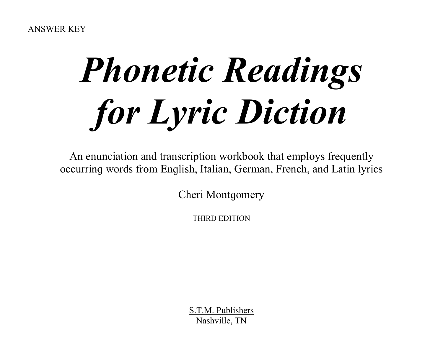# *Phonetic Readings for Lyric Diction*

An enunciation and transcription workbook that employs frequently occurrinɡ words from Enɡlish, Italian, German, French, and Latin lyrics

Cheri Montgomery

THIRD EDITION

S.T.M. Publishers Nashville, TN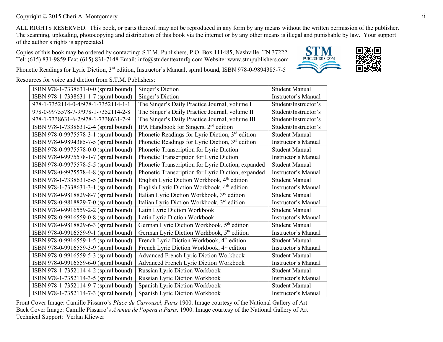#### Copyright © 2015 Cheri A. Montgomery ii

ALL RIGHTS RESERVED. This book, or parts thereof, may not be reproduced in any form by any means without the written permission of the publisher. The scanning, uploading, photocopying and distribution of this book via the internet or by any other means is illegal and punishable by law. Your support of the author's riɡhts is appreciated.

Copies of this book may be ordered by contacting: S.T.M. Publishers, P.O. Box 111485, Nashville, TN 37222 Tel: (615) 831-9859 Fax: (615) 831-7148 Email: info@studenttextmfɡ.com Website: www.stmpublishers.com



र ज

Phonetic Readings for Lyric Diction, 3<sup>rd</sup> edition, Instructor's Manual, spiral bound, ISBN 978-0-9894385-7-5

ISBN 978-1-7338631-0-0 (spiral bound) Singer's Diction Student Manual ISBN 978-1-7338631-1-7 (spiral bound) Singer's Diction Instructor's Manual<br>978-1-7352114-0-4/978-1-7352114-1-1 The Singer's Daily Practice Journal, volume IStudent/Instructor's 978-1-7352114-0-4/978-1-7352114-1-1 The Singer's Daily Practice Journal, volume I 978-0-9975578-7-9/978-1-7352114-2-8 The Singer's Daily Practice Journal, volume II Student/Instructor's 978-1-7338631-6-2/978-1-7338631-7-9 The Singer's Daily Practice Journal, volume III Student/Instructor's ISBN 978-1-7338631-2-4 (spiral bound) IPA Handbook for Singers,  $2<sup>nd</sup>$  edition Student/Instructor's ISBN 978-0-9975578-3-1 (spiral bound) Phonetic Readings for Lyric Diction,  $3^{rd}$  edition Student Manual ISBN 978-0-9894385-7-5 (spiral bound) Phonetic Readings for Lyric Diction,  $3<sup>rd</sup>$  edition Instructor's Manual ISBN 978-0-9975578-0-0 (spiral bound) Phonetic Transcription for Lyric Diction Student Manual ISBN 978-0-9975578-1-7 (spiral bound) Phonetic Transcription for Lyric Diction Instructor's Manual ISBN 978-0-9975578-5-5 (spiral bound) Phonetic Transcription for Lyric Diction, expanded Student Manual ISBN 978-0-9975578-4-8 (spiral bound) Phonetic Transcription for Lyric Diction, expanded Instructor's Manual ISBN 978-1-7338631-5-5 (spiral bound) English Lyric Diction Workbook,  $4<sup>th</sup>$  edition Student Manual ISBN 978-1-7338631-3-1 (spiral bound) English Lyric Diction Workbook,  $4<sup>th</sup>$  edition Instructor's Manual ISBN 978-0-9818829-8-7 (spiral bound) Italian Lyric Diction Workbook, 3rd edition Student Manual ISBN 978-0-9818829-7-0 (spiral bound) Italian Lyric Diction Workbook,  $3<sup>rd</sup>$  edition Instructor's Manual ISBN 978-0-9916559-2-2 (spiral bound) Latin Lyric Diction Workbook Student Manual ISBN 978-0-9916559-0-8 (spiral bound) Latin Lyric Diction Workbook Instructor's Manual ISBN 978-0-9916559-0-8 (spiral bound) Latin Lyric Diction Workbook Instructor's Manual ISBN 978-0-9818829-6-3 (spiral bound) German Lyric Diction Workbook,  $5<sup>th</sup>$  edition Student Manual ISBN 978-0-9916559-9-1 (spiral bound) German Lyric Diction Workbook,  $5<sup>th</sup>$  edition Instructor's Manual ISBN 978-0-9916559-1-5 (spiral bound) French Lyric Diction Workbook, 4<sup>th</sup> edition Student Manual ISBN 978-0-9916559-3-9 (spiral bound) French Lyric Diction Workbook,  $4<sup>th</sup>$  edition Instructor's Manual ISBN 978-0-9916559-5-3 (spiral bound) Advanced French Lyric Diction Workbook Student Manual ISBN 978-0-9916559-6-0 (spiral bound) | Advanced French Lyric Diction Workbook | Instructor's Manual ISBN 978-1-7352114-4-2 (spiral bound) Russian Lyric Diction Workbook Student Manual ISBN 978-1-7352114-3-5 (spiral bound) Russian Lyric Diction Workbook Instructor's Manual ISBN 978-1-7352114-9-7 (spiral bound) Spanish Lyric Diction Workbook Student Manual ISBN 978-1-7352114-7-3 (spiral bound) Spanish Lyric Diction Workbook Instructor's Manual

Resources for voice and diction from S.T.M. Publishers:

Front Cover Image: Camille Pissarro's *Place du Carrousel, Paris* 1900. Image courtesy of the National Gallery of Art Back Cover Image: Camille Pissarro's *Avenue de l'opera a Paris*, 1900. Image courtesy of the National Gallery of Art Technical Support: Verlan Kliewer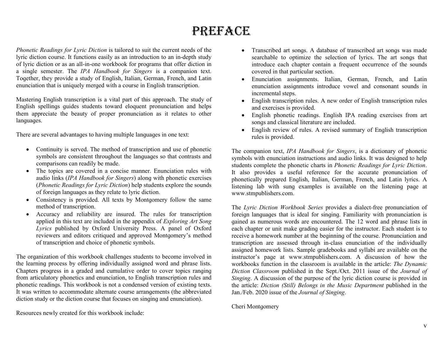# PREFACE

*Phonetic Readings for Lyric Diction* is tailored to suit the current needs of the lyric diction course. It functions easily as an introduction to an in-depth study of lyric diction or as an all-in-one workbook for proɡrams that offer diction in a sinɡle semester. The *IPA Handbook for Singers* is a companion text. Toɡether, they provide a study of Enɡlish, Italian, German, French, and Latin enunciation that is uniquely merged with a course in English transcription.

Mastering English transcription is a vital part of this approach. The study of English spellings quides students toward eloquent pronunciation and helps them appreciate the beauty of proper pronunciation as it relates to other lanquaqes.

There are several advantages to having multiple languages in one text:

- Continuity is served. The method of transcription and use of phonetic symbols are consistent throughout the languages so that contrasts and comparisons can readily be made.
- The topics are covered in a concise manner. Enunciation rules with audio links (*IPA Handbook for Singers*) alonɡ with phonetic exercises (*Phonetic Readings for Lyric Diction*) help students explore the sounds of foreign languages as they relate to lyric diction.
- Consistency is provided. All texts by Montgomery follow the same method of transcription.
- Accuracy and reliability are insured. The rules for transcription applied in this text are included in the appendix of *Exploring Art Song Lyrics* published by Oxford University Press. A panel of Oxford reviewers and editors critiqued and approved Montqomery's method of transcription and choice of phonetic symbols.

The organization of this workbook challenges students to become involved in the learning process by offering individually assigned word and phrase lists. Chapters progress in a graded and cumulative order to cover topics ranging from articulatory phonetics and enunciation, to Enɡlish transcription rules and phonetic readings. This workbook is not a condensed version of existing texts. It was written to accommodate alternate course arrangements (the abbreviated diction study or the diction course that focuses on singing and enunciation).

Resources newly created for this workbook include:

- Transcribed art songs. A database of transcribed art songs was made searchable to optimize the selection of lyrics. The art songs that introduce each chapter contain a frequent occurrence of the sounds covered in that particular section.
- Enunciation assignments. Italian, German, French, and Latin enunciation assignments introduce vowel and consonant sounds in incremental steps.
- Enɡlish transcription rules. A new order of Enɡlish transcription rules and exercises is provided.
- English phonetic readings. English IPA reading exercises from art songs and classical literature are included.
- English review of rules. A revised summary of English transcription rules is provided.

The companion text, *IPA Handbook for Singers*, is a dictionary of phonetic symbols with enunciation instructions and audio links. It was designed to help students complete the phonetic charts in *Phonetic Readings for Lyric Diction*. It also provides a useful reference for the accurate pronunciation of phonetically prepared Enɡlish, Italian, German, French, and Latin lyrics. A listening lab with sung examples is available on the listening page at www.stmpublishers.com.

The *Lyric Diction Workbook Series* provides a dialect-free pronunciation of foreign languages that is ideal for singing. Familiarity with pronunciation is ɡained as numerous words are encountered. The 12 word and phrase lists in each chapter or unit make qrading easier for the instructor. Each student is to receive a homework number at the beginning of the course. Pronunciation and transcription are assessed through in-class enunciation of the individually assigned homework lists. Sample gradebooks and syllabi are available on the instructor's paɡe at www.stmpublishers.com. A discussion of how the workbooks function in the classroom is available in the article: *The Dynamic Diction Classroom* published in the Sept./Oct. 2011 issue of the *Journal of Singing*. A discussion of the purpose of the lyric diction course is provided in the article: *Diction (Still) Belongs in the Music Department* published in the Jan./Feb. 2020 issue of the *Journal of Singing*.

Cheri Montgomery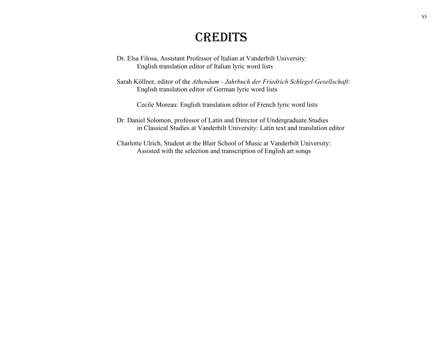## CREDITS

- Dr. Elsa Filosa, Assistant Professor of Italian at Vanderbilt University: Enɡlish translation editor of Italian lyric word lists
- Sarah Köllner, editor of the *Athenäum - Jahrbuch der Friedrich Schlegel-Gesellschaft*: Enɡlish translation editor of German lyric word lists

Cecile Moreau: Enɡlish translation editor of French lyric word lists

- Dr. Daniel Solomon, professor of Latin and Director of Underɡraduate Studies in Classical Studies at Vanderbilt University: Latin text and translation editor
- Charlotte Ulrich, Student at the Blair School of Music at Vanderbilt University: Assisted with the selection and transcription of English art songs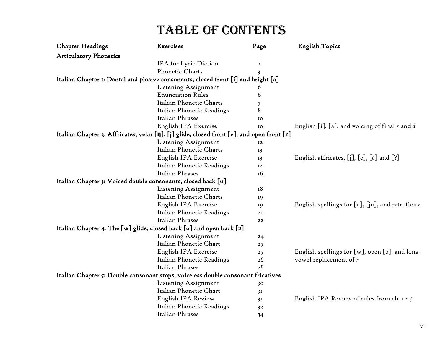| <b>Articulatory Phonetics</b><br>IPA for Lyric Diction<br>$\overline{a}$<br>Phonetic Charts<br>3<br>Italian Chapter 1: Dental and plosive consonants, closed front [i] and bright [a]<br>Listening Assignment<br>6<br><b>Enunciation Rules</b><br>6<br>Italian Phonetic Charts<br>7<br>8<br>Italian Phonetic Readings<br>Italian Phrases<br>IO<br>English IPA Exercise<br>English [i], [a], and voicing of final s and d<br>IO<br>Italian Chapter 2: Affricates, velar [ŋ], [j] glide, closed front [e], and open front [ɛ]<br>Listening Assignment<br>12<br>Italian Phonetic Charts<br>13<br>English IPA Exercise<br>English affricates, [j], $[e]$ , $[\varepsilon]$ and $[?]$<br>13<br>Italian Phonetic Readings<br>14<br>Italian Phrases<br>16<br>Italian Chapter 3: Voiced double consonants, closed back [u]<br>Listening Assignment<br>18<br>Italian Phonetic Charts<br>19<br>English IPA Exercise<br>19<br>Italian Phonetic Readings<br>20<br>Italian Phrases<br>22<br>Italian Chapter 4: The [w] glide, closed back [o] and open back [ɔ]<br>Listening Assignment<br>24<br>Italian Phonetic Chart<br>25<br>English IPA Exercise<br>English spellings for $[w]$ , open $[5]$ , and long<br>25<br>Italian Phonetic Readings<br>vowel replacement of $r$<br>26<br>Italian Phrases<br>28<br>Italian Chapter 5: Double consonant stops, voiceless double consonant fricatives<br>Listening Assignment<br>30<br>Italian Phonetic Chart<br>3I<br>English IPA Review<br>English IPA Review of rules from ch. $1 - 5$<br>3I | <b>Chapter Headings</b> | Exercises                 | Page | <b>English Topics</b>                                  |
|-----------------------------------------------------------------------------------------------------------------------------------------------------------------------------------------------------------------------------------------------------------------------------------------------------------------------------------------------------------------------------------------------------------------------------------------------------------------------------------------------------------------------------------------------------------------------------------------------------------------------------------------------------------------------------------------------------------------------------------------------------------------------------------------------------------------------------------------------------------------------------------------------------------------------------------------------------------------------------------------------------------------------------------------------------------------------------------------------------------------------------------------------------------------------------------------------------------------------------------------------------------------------------------------------------------------------------------------------------------------------------------------------------------------------------------------------------------------------------------------------------------------------------|-------------------------|---------------------------|------|--------------------------------------------------------|
|                                                                                                                                                                                                                                                                                                                                                                                                                                                                                                                                                                                                                                                                                                                                                                                                                                                                                                                                                                                                                                                                                                                                                                                                                                                                                                                                                                                                                                                                                                                             |                         |                           |      |                                                        |
|                                                                                                                                                                                                                                                                                                                                                                                                                                                                                                                                                                                                                                                                                                                                                                                                                                                                                                                                                                                                                                                                                                                                                                                                                                                                                                                                                                                                                                                                                                                             |                         |                           |      |                                                        |
|                                                                                                                                                                                                                                                                                                                                                                                                                                                                                                                                                                                                                                                                                                                                                                                                                                                                                                                                                                                                                                                                                                                                                                                                                                                                                                                                                                                                                                                                                                                             |                         |                           |      |                                                        |
|                                                                                                                                                                                                                                                                                                                                                                                                                                                                                                                                                                                                                                                                                                                                                                                                                                                                                                                                                                                                                                                                                                                                                                                                                                                                                                                                                                                                                                                                                                                             |                         |                           |      |                                                        |
|                                                                                                                                                                                                                                                                                                                                                                                                                                                                                                                                                                                                                                                                                                                                                                                                                                                                                                                                                                                                                                                                                                                                                                                                                                                                                                                                                                                                                                                                                                                             |                         |                           |      |                                                        |
|                                                                                                                                                                                                                                                                                                                                                                                                                                                                                                                                                                                                                                                                                                                                                                                                                                                                                                                                                                                                                                                                                                                                                                                                                                                                                                                                                                                                                                                                                                                             |                         |                           |      |                                                        |
|                                                                                                                                                                                                                                                                                                                                                                                                                                                                                                                                                                                                                                                                                                                                                                                                                                                                                                                                                                                                                                                                                                                                                                                                                                                                                                                                                                                                                                                                                                                             |                         |                           |      |                                                        |
|                                                                                                                                                                                                                                                                                                                                                                                                                                                                                                                                                                                                                                                                                                                                                                                                                                                                                                                                                                                                                                                                                                                                                                                                                                                                                                                                                                                                                                                                                                                             |                         |                           |      |                                                        |
|                                                                                                                                                                                                                                                                                                                                                                                                                                                                                                                                                                                                                                                                                                                                                                                                                                                                                                                                                                                                                                                                                                                                                                                                                                                                                                                                                                                                                                                                                                                             |                         |                           |      |                                                        |
|                                                                                                                                                                                                                                                                                                                                                                                                                                                                                                                                                                                                                                                                                                                                                                                                                                                                                                                                                                                                                                                                                                                                                                                                                                                                                                                                                                                                                                                                                                                             |                         |                           |      |                                                        |
|                                                                                                                                                                                                                                                                                                                                                                                                                                                                                                                                                                                                                                                                                                                                                                                                                                                                                                                                                                                                                                                                                                                                                                                                                                                                                                                                                                                                                                                                                                                             |                         |                           |      |                                                        |
|                                                                                                                                                                                                                                                                                                                                                                                                                                                                                                                                                                                                                                                                                                                                                                                                                                                                                                                                                                                                                                                                                                                                                                                                                                                                                                                                                                                                                                                                                                                             |                         |                           |      |                                                        |
|                                                                                                                                                                                                                                                                                                                                                                                                                                                                                                                                                                                                                                                                                                                                                                                                                                                                                                                                                                                                                                                                                                                                                                                                                                                                                                                                                                                                                                                                                                                             |                         |                           |      |                                                        |
|                                                                                                                                                                                                                                                                                                                                                                                                                                                                                                                                                                                                                                                                                                                                                                                                                                                                                                                                                                                                                                                                                                                                                                                                                                                                                                                                                                                                                                                                                                                             |                         |                           |      |                                                        |
|                                                                                                                                                                                                                                                                                                                                                                                                                                                                                                                                                                                                                                                                                                                                                                                                                                                                                                                                                                                                                                                                                                                                                                                                                                                                                                                                                                                                                                                                                                                             |                         |                           |      |                                                        |
|                                                                                                                                                                                                                                                                                                                                                                                                                                                                                                                                                                                                                                                                                                                                                                                                                                                                                                                                                                                                                                                                                                                                                                                                                                                                                                                                                                                                                                                                                                                             |                         |                           |      |                                                        |
|                                                                                                                                                                                                                                                                                                                                                                                                                                                                                                                                                                                                                                                                                                                                                                                                                                                                                                                                                                                                                                                                                                                                                                                                                                                                                                                                                                                                                                                                                                                             |                         |                           |      |                                                        |
|                                                                                                                                                                                                                                                                                                                                                                                                                                                                                                                                                                                                                                                                                                                                                                                                                                                                                                                                                                                                                                                                                                                                                                                                                                                                                                                                                                                                                                                                                                                             |                         |                           |      |                                                        |
|                                                                                                                                                                                                                                                                                                                                                                                                                                                                                                                                                                                                                                                                                                                                                                                                                                                                                                                                                                                                                                                                                                                                                                                                                                                                                                                                                                                                                                                                                                                             |                         |                           |      |                                                        |
|                                                                                                                                                                                                                                                                                                                                                                                                                                                                                                                                                                                                                                                                                                                                                                                                                                                                                                                                                                                                                                                                                                                                                                                                                                                                                                                                                                                                                                                                                                                             |                         |                           |      | English spellings for $[u]$ , $[iu]$ , and retroflex r |
|                                                                                                                                                                                                                                                                                                                                                                                                                                                                                                                                                                                                                                                                                                                                                                                                                                                                                                                                                                                                                                                                                                                                                                                                                                                                                                                                                                                                                                                                                                                             |                         |                           |      |                                                        |
|                                                                                                                                                                                                                                                                                                                                                                                                                                                                                                                                                                                                                                                                                                                                                                                                                                                                                                                                                                                                                                                                                                                                                                                                                                                                                                                                                                                                                                                                                                                             |                         |                           |      |                                                        |
|                                                                                                                                                                                                                                                                                                                                                                                                                                                                                                                                                                                                                                                                                                                                                                                                                                                                                                                                                                                                                                                                                                                                                                                                                                                                                                                                                                                                                                                                                                                             |                         |                           |      |                                                        |
|                                                                                                                                                                                                                                                                                                                                                                                                                                                                                                                                                                                                                                                                                                                                                                                                                                                                                                                                                                                                                                                                                                                                                                                                                                                                                                                                                                                                                                                                                                                             |                         |                           |      |                                                        |
|                                                                                                                                                                                                                                                                                                                                                                                                                                                                                                                                                                                                                                                                                                                                                                                                                                                                                                                                                                                                                                                                                                                                                                                                                                                                                                                                                                                                                                                                                                                             |                         |                           |      |                                                        |
|                                                                                                                                                                                                                                                                                                                                                                                                                                                                                                                                                                                                                                                                                                                                                                                                                                                                                                                                                                                                                                                                                                                                                                                                                                                                                                                                                                                                                                                                                                                             |                         |                           |      |                                                        |
|                                                                                                                                                                                                                                                                                                                                                                                                                                                                                                                                                                                                                                                                                                                                                                                                                                                                                                                                                                                                                                                                                                                                                                                                                                                                                                                                                                                                                                                                                                                             |                         |                           |      |                                                        |
|                                                                                                                                                                                                                                                                                                                                                                                                                                                                                                                                                                                                                                                                                                                                                                                                                                                                                                                                                                                                                                                                                                                                                                                                                                                                                                                                                                                                                                                                                                                             |                         |                           |      |                                                        |
|                                                                                                                                                                                                                                                                                                                                                                                                                                                                                                                                                                                                                                                                                                                                                                                                                                                                                                                                                                                                                                                                                                                                                                                                                                                                                                                                                                                                                                                                                                                             |                         |                           |      |                                                        |
|                                                                                                                                                                                                                                                                                                                                                                                                                                                                                                                                                                                                                                                                                                                                                                                                                                                                                                                                                                                                                                                                                                                                                                                                                                                                                                                                                                                                                                                                                                                             |                         |                           |      |                                                        |
|                                                                                                                                                                                                                                                                                                                                                                                                                                                                                                                                                                                                                                                                                                                                                                                                                                                                                                                                                                                                                                                                                                                                                                                                                                                                                                                                                                                                                                                                                                                             |                         |                           |      |                                                        |
|                                                                                                                                                                                                                                                                                                                                                                                                                                                                                                                                                                                                                                                                                                                                                                                                                                                                                                                                                                                                                                                                                                                                                                                                                                                                                                                                                                                                                                                                                                                             |                         |                           |      |                                                        |
|                                                                                                                                                                                                                                                                                                                                                                                                                                                                                                                                                                                                                                                                                                                                                                                                                                                                                                                                                                                                                                                                                                                                                                                                                                                                                                                                                                                                                                                                                                                             |                         | Italian Phonetic Readings | 32   |                                                        |
| Italian Phrases<br>34                                                                                                                                                                                                                                                                                                                                                                                                                                                                                                                                                                                                                                                                                                                                                                                                                                                                                                                                                                                                                                                                                                                                                                                                                                                                                                                                                                                                                                                                                                       |                         |                           |      |                                                        |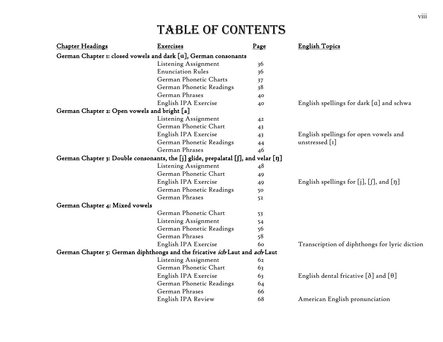| <b>Chapter Headings</b>                      | Exercises                                                                         | Page | <b>English Topics</b>                              |
|----------------------------------------------|-----------------------------------------------------------------------------------|------|----------------------------------------------------|
|                                              | German Chapter 1: closed vowels and dark $[a]$ , German consonants                |      |                                                    |
|                                              | Listening Assignment                                                              | 36   |                                                    |
|                                              | <b>Enunciation Rules</b>                                                          | 36   |                                                    |
|                                              | German Phonetic Charts                                                            | 37   |                                                    |
|                                              | German Phonetic Readings                                                          | 38   |                                                    |
|                                              | German Phrases                                                                    | 40   |                                                    |
|                                              | English IPA Exercise                                                              | 40   | English spellings for dark [a] and schwa           |
| German Chapter 2: Open vowels and bright [a] |                                                                                   |      |                                                    |
|                                              | Listening Assignment                                                              | 42   |                                                    |
|                                              | German Phonetic Chart                                                             | 43   |                                                    |
|                                              | English IPA Exercise                                                              | 43   | English spellings for open vowels and              |
|                                              | German Phonetic Readings                                                          | 44   | unstressed $\lceil$ I]                             |
|                                              | German Phrases                                                                    | 46   |                                                    |
|                                              | German Chapter 3: Double consonants, the [j] glide, prepalatal [f], and velar [ŋ] |      |                                                    |
|                                              | Listening Assignment                                                              | 48   |                                                    |
|                                              | German Phonetic Chart                                                             | 49   |                                                    |
|                                              | English IPA Exercise                                                              | 49   | English spellings for $[j], [j],$ and $[\eta]$     |
|                                              | German Phonetic Readings                                                          | 50   |                                                    |
|                                              | German Phrases                                                                    | 52   |                                                    |
| German Chapter 4: Mixed vowels               |                                                                                   |      |                                                    |
|                                              | German Phonetic Chart                                                             | 53   |                                                    |
|                                              | Listening Assignment                                                              | 54   |                                                    |
|                                              | German Phonetic Readings                                                          | 56   |                                                    |
|                                              | German Phrases                                                                    | 58   |                                                    |
|                                              | English IPA Exercise                                                              | 60   | Transcription of diphthongs for lyric diction      |
|                                              | German Chapter 5: German diphthongs and the fricative ich Laut and ach Laut       |      |                                                    |
|                                              | Listening Assignment                                                              | 62   |                                                    |
|                                              | German Phonetic Chart                                                             | 63   |                                                    |
|                                              | English IPA Exercise                                                              | 63   | English dental fricative $[\delta]$ and $[\theta]$ |
|                                              | German Phonetic Readings                                                          | 64   |                                                    |
|                                              | German Phrases                                                                    | 66   |                                                    |
|                                              | English IPA Review                                                                | 68   | American English pronunciation                     |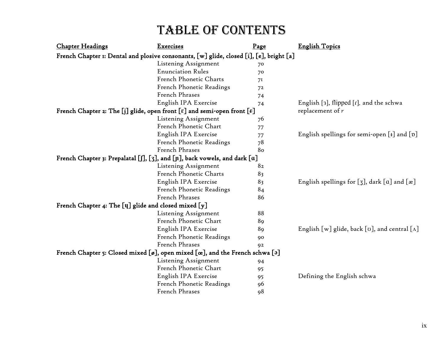| <b>Chapter Headings</b>                                                                             | Exercises                | Page | <b>English Topics</b>                                           |
|-----------------------------------------------------------------------------------------------------|--------------------------|------|-----------------------------------------------------------------|
| French Chapter 1: Dental and plosive consonants, [w] glide, closed [i], [e], bright [a]             |                          |      |                                                                 |
|                                                                                                     | Listening Assignment     | 70   |                                                                 |
|                                                                                                     | <b>Enunciation Rules</b> | 70   |                                                                 |
|                                                                                                     | French Phonetic Charts   | 71   |                                                                 |
|                                                                                                     | French Phonetic Readings | 72   |                                                                 |
|                                                                                                     | French Phrases           | 74   |                                                                 |
|                                                                                                     | English IPA Exercise     | 74   | English [3], flipped $[r]$ , and the schwa                      |
| French Chapter 2: The [j] glide, open front [ $\varepsilon$ ] and semi-open front [ $\varepsilon$ ] |                          |      | replacement of $r$                                              |
|                                                                                                     | Listening Assignment     | 76   |                                                                 |
|                                                                                                     | French Phonetic Chart    | 77   |                                                                 |
|                                                                                                     | English IPA Exercise     | 77   | English spellings for semi-open $[I]$ and $[p]$                 |
|                                                                                                     | French Phonetic Readings | 78   |                                                                 |
|                                                                                                     | French Phrases           | 80   |                                                                 |
| French Chapter 3: Prepalatal [f], [3], and [n], back vowels, and dark [a]                           |                          |      |                                                                 |
|                                                                                                     | Listening Assignment     | 82   |                                                                 |
|                                                                                                     | French Phonetic Charts   | 83   |                                                                 |
|                                                                                                     | English IPA Exercise     | 83   | English spellings for [3], dark $[a]$ and $[x]$                 |
|                                                                                                     | French Phonetic Readings | 84   |                                                                 |
|                                                                                                     | French Phrases           | 86   |                                                                 |
| French Chapter 4: The [y] glide and closed mixed [y]                                                |                          |      |                                                                 |
|                                                                                                     | Listening Assignment     | 88   |                                                                 |
|                                                                                                     | French Phonetic Chart    | 89   |                                                                 |
|                                                                                                     | English IPA Exercise     | 89   | English [w] glide, back [ $\sigma$ ], and central [ $\Lambda$ ] |
|                                                                                                     | French Phonetic Readings | 90   |                                                                 |
|                                                                                                     | French Phrases           | 92   |                                                                 |
| French Chapter 5: Closed mixed [ø], open mixed $[\alpha]$ , and the French schwa [ə]                |                          |      |                                                                 |
|                                                                                                     | Listening Assignment     | 94   |                                                                 |
|                                                                                                     | French Phonetic Chart    | 95   |                                                                 |
|                                                                                                     | English IPA Exercise     | 95   | Defining the English schwa                                      |
|                                                                                                     | French Phonetic Readings | 96   |                                                                 |
|                                                                                                     | French Phrases           | 98   |                                                                 |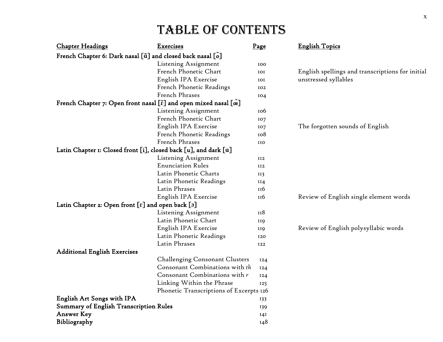| <b>Chapter Headings</b>                                                                         | <b>Exercises</b>                        | Page            | <b>English Topics</b>                            |
|-------------------------------------------------------------------------------------------------|-----------------------------------------|-----------------|--------------------------------------------------|
| French Chapter 6: Dark nasal [ $\tilde{a}$ ] and closed back nasal [ $\tilde{o}$ ]              |                                         |                 |                                                  |
|                                                                                                 | Listening Assignment                    | 100             |                                                  |
|                                                                                                 | French Phonetic Chart                   | IOI             | English spellings and transcriptions for initial |
|                                                                                                 | English IPA Exercise                    | IOI             | unstressed syllables                             |
|                                                                                                 | French Phonetic Readings                | 102             |                                                  |
|                                                                                                 | French Phrases                          | 104             |                                                  |
| French Chapter 7: Open front nasal $[\tilde{\epsilon}]$ and open mixed nasal $[\tilde{\alpha}]$ |                                         |                 |                                                  |
|                                                                                                 | Listening Assignment                    | 10 <sub>0</sub> |                                                  |
|                                                                                                 | French Phonetic Chart                   | 107             |                                                  |
|                                                                                                 | English IPA Exercise                    | IO7             | The forgotten sounds of English                  |
|                                                                                                 | French Phonetic Readings                | 108             |                                                  |
|                                                                                                 | French Phrases                          | IIO             |                                                  |
| Latin Chapter 1: Closed front [i], closed back [u], and dark [a]                                |                                         |                 |                                                  |
|                                                                                                 | Listening Assignment                    | II2             |                                                  |
|                                                                                                 | <b>Enunciation Rules</b>                | II2             |                                                  |
|                                                                                                 | Latin Phonetic Charts                   | II3             |                                                  |
|                                                                                                 | Latin Phonetic Readings                 | II4             |                                                  |
|                                                                                                 | Latin Phrases                           | 116             |                                                  |
|                                                                                                 | English IPA Exercise                    | II <sub>6</sub> | Review of English single element words           |
| Latin Chapter 2: Open front $[\epsilon]$ and open back $[\mathfrak{z}]$                         |                                         |                 |                                                  |
|                                                                                                 | Listening Assignment                    | II8             |                                                  |
|                                                                                                 | Latin Phonetic Chart                    | <b>II9</b>      |                                                  |
|                                                                                                 | English IPA Exercise                    | <b>II9</b>      | Review of English polysyllabic words             |
|                                                                                                 | Latin Phonetic Readings                 | 120             |                                                  |
|                                                                                                 | Latin Phrases                           | I22             |                                                  |
| <b>Additional English Exercises</b>                                                             |                                         |                 |                                                  |
|                                                                                                 | <b>Challenging Consonant Clusters</b>   | 124             |                                                  |
|                                                                                                 | Consonant Combinations with th          | 124             |                                                  |
|                                                                                                 | Consonant Combinations with r           | 124             |                                                  |
|                                                                                                 | Linking Within the Phrase               | 125             |                                                  |
|                                                                                                 | Phonetic Transcriptions of Excerpts 126 |                 |                                                  |
| English Art Songs with IPA                                                                      |                                         | 133             |                                                  |
| <b>Summary of English Transcription Rules</b>                                                   |                                         | 139             |                                                  |
| <b>Answer Key</b>                                                                               |                                         | 14I             |                                                  |
| Bibliography                                                                                    |                                         | 148             |                                                  |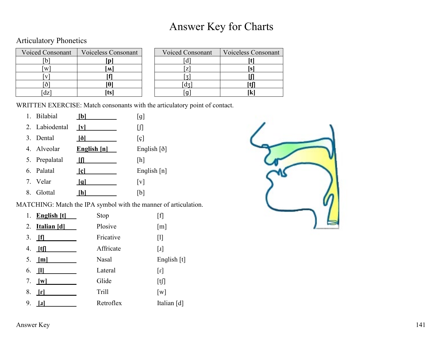## Answer Key for Charts

#### Articulatory Phonetics

| <b>Voiced Consonant</b> | <b>Voiceless Consonant</b> | <b>Voiced Consonant</b> | Voiceless C |
|-------------------------|----------------------------|-------------------------|-------------|
|                         |                            |                         |             |
| W                       | м                          |                         |             |
|                         |                            |                         |             |
|                         |                            |                         |             |
| dz                      |                            |                         |             |

| Voiced Consonant | Voiceless Consonant | <b>Voiced Consonant</b> | <b>Voiceless Consonant</b> |
|------------------|---------------------|-------------------------|----------------------------|
|                  |                     |                         |                            |
| W                | ١M                  |                         |                            |
|                  |                     |                         |                            |
|                  |                     |                         |                            |
| dz               |                     |                         |                            |

WRITTEN EXERCISE: Match consonants with the articulatory point of contact.

- 1. Bilabial **[b]** [g]
- 2. Labiodental <u>[v]</u> [f]
- 3. Dental **[ð]** [ç]
- 4. Alveolar **English [n]** English [ð]
- 5. Prepalatal *<sup>U</sup>* **[ʃ]***<sup>U</sup>* [h]
- 6. Palatal *<sup>U</sup>* **[ç]** Enɡlish [n]
- 7. Velar *Igl.* **[v]** [v]
- 8. Glottal **[h]** [b]

MATCHING: Match the IPA symbol with the manner of articulation.

|    | 1. English $[t]$                | Stop         | $\lceil f \rceil$ |
|----|---------------------------------|--------------|-------------------|
|    | 2. Italian [d]                  | Plosive      | $\lceil m \rceil$ |
| 3. | <u>[f]</u>                      | Fricative    | $\lceil 1 \rceil$ |
|    | 4. $\text{If}$                  | Affricate    | $\lceil 1 \rceil$ |
|    | 5. $[m]$                        | <b>Nasal</b> | English [t]       |
| 6. | $\Box$                          | Lateral      | $\lceil r \rceil$ |
|    | 7. $\lfloor \mathbf{w} \rfloor$ | Glide        | [t]               |
| 8. | $\lfloor n \rfloor$             | <b>Trill</b> | $\lceil w \rceil$ |
| 9. | I                               | Retroflex    | Italian [d]       |

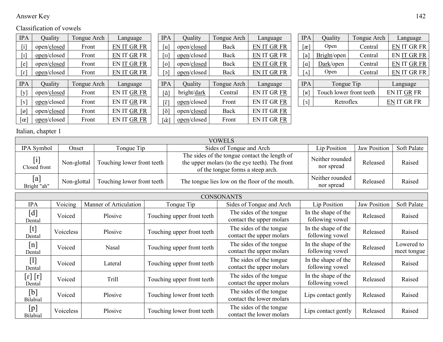#### Answer Key 142

#### Classification of vowels

| <b>IPA</b>                  | Quality     | Tongue Arch | Language    | <b>IPA</b>                     | Quality     | Tongue Arch | Language    | <b>IPA</b>              | Quality     | Tongue Arch             | Language           |
|-----------------------------|-------------|-------------|-------------|--------------------------------|-------------|-------------|-------------|-------------------------|-------------|-------------------------|--------------------|
| $\overline{1}$              | open/closed | Front       | EN IT GR FR | [u                             | open/closed | Back        | EN IT GR FR | $\lceil x \rceil$       | Open        | Central                 | <b>EN IT GR FR</b> |
| $\lceil \cdot \rceil$       | open/closed | Front       | EN IT GR FR | $\lceil \sigma \rceil$         | open/closed | Back        | EN IT GR FR | [a                      | Bright/open | Central                 | EN IT GR FR        |
| $[$ e $]$                   | open/closed | Front       | EN IT GR FR | $\lceil 0 \rceil$              | open/closed | Back        | EN IT GR FR | $\lceil a \rceil$       | Dark/open   | Central                 | <b>EN IT GR FR</b> |
| $\lceil \varepsilon \rceil$ | open/closed | Front       | EN IT GR FR | $\lceil 5 \rceil$              | open/closed | Back        | EN IT GR FR | $\lceil \Lambda \rceil$ | Open        | Central                 | <b>EN IT GR FR</b> |
| <b>IPA</b>                  | Quality     | Tongue Arch | Language    | <b>IPA</b>                     | Quality     | Tongue Arch | Language    | <b>IPA</b>              |             | Tongue Tip              | Language           |
| [y]                         | open/closed | Front       | EN IT GR FR | [ã                             | bright/dark | Central     | EN IT GR FR | $[\mathbf{k}]$          |             | Touch lower front teeth | EN IT GR FR        |
| $\lceil y \rceil$           | open/closed | Front       | EN IT GR FR | $\tilde{\epsilon}$             | open/closed | Front       | EN IT GR FR | [3]                     |             | Retroflex               | EN IT GR FR        |
| $\lceil \varnothing \rceil$ | open/closed | Front       | EN IT GR FR | $\lceil \tilde{o} \rceil$      | open/closed | Back        | EN IT GR FR |                         |             |                         |                    |
| $[\alpha]$                  | open/closed | Front       | EN IT GR FR | $\lceil \tilde{\alpha} \rceil$ | open/closed | Front       | EN IT GR FR |                         |             |                         |                    |

| <b>IPA</b>                          | Quality     | Tongue Arch | Language           |
|-------------------------------------|-------------|-------------|--------------------|
| [u]                                 | open/closed | Back        | <b>EN IT GR FR</b> |
| [ʊ]                                 | open/closed | Back        | <b>EN IT GR FR</b> |
| $\lceil 0 \rceil$                   | open/closed | Back        | EN IT GR FR        |
| $\lceil \circ \rceil$               | open/closed | Back        | EN IT GR FR        |
|                                     |             |             |                    |
|                                     |             |             |                    |
| <b>IPA</b>                          | Quality     | Tongue Arch | Language           |
| $\lceil \tilde{a} \rceil$           | bright/dark | Central     | <b>EN IT GR FR</b> |
| $\lceil \tilde{\varepsilon} \rceil$ | open/closed | Front       | <b>EN IT GR FR</b> |
| [õ]                                 | open/closed | Back        | <b>EN IT GR FR</b> |

| Ą | Quality     | Tongue Arch | Language           | <b>IPA</b>          | Quality                 | Tongue Arch |  | Language           |
|---|-------------|-------------|--------------------|---------------------|-------------------------|-------------|--|--------------------|
|   | open/closed | Back        | EN IT GR FR        | $\lvert x \rvert$   | Open                    | Central     |  | <b>EN IT GR FR</b> |
|   | open/closed | Back        | EN IT GR FR        | a i                 | Bright/open             | Central     |  | <b>EN IT GR FR</b> |
|   | open/closed | Back        | EN IT GR FR        | $\alpha$            | Dark/open               | Central     |  | EN IT GR FR        |
|   | open/closed | Back        | <b>EN IT GR FR</b> | $\Lambda$           | Open                    | Central     |  | <b>EN IT GR FR</b> |
|   |             |             |                    |                     |                         |             |  |                    |
| Ą | Quality     | Tongue Arch | Language           | <b>IPA</b>          | Tongue Tip              |             |  | Language           |
|   | bright/dark | Central     | EN IT GR FR        | $\lfloor R \rfloor$ | Touch lower front teeth |             |  | EN IT GR FR        |

Italian, chapter 1

|                    | <b>VOWELS</b> |                            |                                                                                                                                      |                               |                     |             |  |  |  |  |  |  |
|--------------------|---------------|----------------------------|--------------------------------------------------------------------------------------------------------------------------------------|-------------------------------|---------------------|-------------|--|--|--|--|--|--|
| IPA Symbol         | Onset         | Tonque Tip                 | Sides of Tonque and Arch                                                                                                             | Lip Position                  | <b>Jaw Position</b> | Soft Palate |  |  |  |  |  |  |
| Closed front       | Non-glottal   | Touching lower front teeth | The sides of the tongue contact the length of<br>the upper molars (to the eye teeth). The front<br>of the tongue forms a steep arch. | Neither rounded<br>nor spread | Released            | Raised      |  |  |  |  |  |  |
| [a]<br>Bright "ah" | Non-glottal   | Touching lower front teeth | The tongue lies low on the floor of the mouth.                                                                                       | Neither rounded<br>nor spread | Released            | Raised      |  |  |  |  |  |  |

|                                                                                                                                                                                                                                                                                                                                                                                                                                                                                                                                                                                        | <b>CONSONANTS</b> |                        |                            |                                                     |                                        |                     |                           |  |  |  |  |  |  |
|----------------------------------------------------------------------------------------------------------------------------------------------------------------------------------------------------------------------------------------------------------------------------------------------------------------------------------------------------------------------------------------------------------------------------------------------------------------------------------------------------------------------------------------------------------------------------------------|-------------------|------------------------|----------------------------|-----------------------------------------------------|----------------------------------------|---------------------|---------------------------|--|--|--|--|--|--|
| <b>IPA</b>                                                                                                                                                                                                                                                                                                                                                                                                                                                                                                                                                                             | Voicing           | Manner of Articulation | Tonque Tip                 | Sides of Tonque and Arch                            | Lip Position                           | <b>Jaw Position</b> | Soft Palate               |  |  |  |  |  |  |
| $\left[ \mathrm{d}\right]$<br>Dental                                                                                                                                                                                                                                                                                                                                                                                                                                                                                                                                                   | Voiced            | <b>Plosive</b>         | Touching upper front teeth | The sides of the tongue<br>contact the upper molars | In the shape of the<br>following vowel | Released            | Raised                    |  |  |  |  |  |  |
| $[t] % \begin{center} % \includegraphics[width=\linewidth]{imagesSupplemental_3.png} % \end{center} % \caption { % \textit{DefNet} and { % \textit{DefNet} and { % \textit{DefNet} and { % \textit{DefNet} and { % \textit{DefNet} and { % \textit{DefNet} and { % \textit{DefNet} and { % \textit{DefNet} and { % \textit{DefNet} and { % \textit{DefNet} and { % \textit{DefNet} and { % \textit{DefNet} and { % \textit{DefNet} and { % \textit{DefNet} and { % \textit{DefNet} and { % \textit{DefNet} and { % \textit{DefNet} and { % \textit{DefNet} and { % \textit{$<br>Dental | Voiceless         | Plosive                | Touching upper front teeth | The sides of the tongue<br>contact the upper molars | In the shape of the<br>following vowel | Released            | Raised                    |  |  |  |  |  |  |
| [n]<br>Dental                                                                                                                                                                                                                                                                                                                                                                                                                                                                                                                                                                          | Voiced            | Nasal                  | Touching upper front teeth | The sides of the tongue<br>contact the upper molars | In the shape of the<br>following vowel | Released            | Lowered to<br>meet tongue |  |  |  |  |  |  |
| [1]<br>Dental                                                                                                                                                                                                                                                                                                                                                                                                                                                                                                                                                                          | Voiced            | Lateral                | Touching upper front teeth | The sides of the tongue<br>contact the upper molars | In the shape of the<br>following vowel | Released            | Raised                    |  |  |  |  |  |  |
| $[r]$ $[r]$<br>Dental                                                                                                                                                                                                                                                                                                                                                                                                                                                                                                                                                                  | Voiced            | <b>Trill</b>           | Touching upper front teeth | The sides of the tongue<br>contact the upper molars | In the shape of the<br>following vowel | Released            | Raised                    |  |  |  |  |  |  |
| [b]<br><b>Bilabial</b>                                                                                                                                                                                                                                                                                                                                                                                                                                                                                                                                                                 | Voiced            | Plosive                | Touching lower front teeth | The sides of the tongue<br>contact the lower molars | Lips contact gently                    | Released            | Raised                    |  |  |  |  |  |  |
| [p]<br>Bilabial                                                                                                                                                                                                                                                                                                                                                                                                                                                                                                                                                                        | Voiceless         | Plosive                | Touching lower front teeth | The sides of the tongue<br>contact the lower molars | Lips contact gently                    | Released            | Raised                    |  |  |  |  |  |  |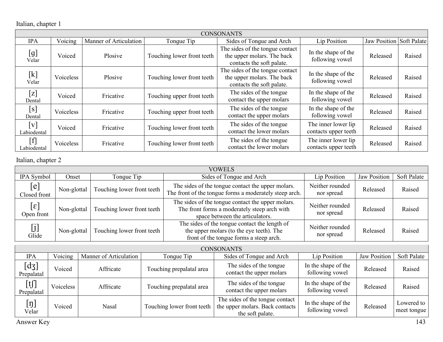Italian, chapter 1

|                          |           |                        |                            | <b>CONSONANTS</b>                                                                          |                                             |                          |        |
|--------------------------|-----------|------------------------|----------------------------|--------------------------------------------------------------------------------------------|---------------------------------------------|--------------------------|--------|
| <b>IPA</b>               | Voicing   | Manner of Articulation | Tonque Tip                 | Sides of Tonque and Arch                                                                   | Lip Position                                | Jaw Position Soft Palate |        |
| [g]<br>Velar             | Voiced    | Plosive                | Touching lower front teeth | The sides of the tongue contact<br>the upper molars. The back<br>contacts the soft palate. | In the shape of the<br>following vowel      | Released                 | Raised |
| $[{\rm k}]$<br>Velar     | Voiceless | Plosive                | Touching lower front teeth | The sides of the tongue contact<br>the upper molars. The back<br>contacts the soft palate. | In the shape of the<br>following vowel      | Released                 | Raised |
| $[\mathrm{z}]$<br>Dental | Voiced    | Fricative              | Touching upper front teeth | The sides of the tongue<br>contact the upper molars                                        | In the shape of the<br>following vowel      | Released                 | Raised |
| [s]<br>Dental            | Voiceless | Fricative              | Touching upper front teeth | The sides of the tongue<br>contact the upper molars                                        | In the shape of the<br>following vowel      | Released                 | Raised |
| [v]<br>Labiodental       | Voiced    | Fricative              | Touching lower front teeth | The sides of the tongue<br>contact the lower molars                                        | The inner lower lip<br>contacts upper teeth | Released                 | Raised |
| $[f]$<br>Labiodental     | Voiceless | Fricative              | Touching lower front teeth | The sides of the tongue<br>contact the lower molars                                        | The inner lower lip<br>contacts upper teeth | Released                 | Raised |

Italian, chapter 2

|                            |             |                            | VOWELS                                                                                                                               |                               |                     |             |
|----------------------------|-------------|----------------------------|--------------------------------------------------------------------------------------------------------------------------------------|-------------------------------|---------------------|-------------|
| <b>IPA</b> Symbol          | Onset       | Tonque Tip                 | Sides of Tonque and Arch                                                                                                             | Lip Position                  | <b>Jaw Position</b> | Soft Palate |
| [e]<br>Closed front        | Non-glottal | Touching lower front teeth | The sides of the tongue contact the upper molars.<br>The front of the tongue forms a moderately steep arch.                          | Neither rounded<br>nor spread | Released            | Raised      |
| $[\epsilon]$<br>Open front | Non-glottal | Touching lower front teeth | The sides of the tongue contact the upper molars.<br>The front forms a moderately steep arch with<br>space between the articulators. | Neither rounded<br>nor spread | Released            | Raised      |
| [j]<br>Glide               | Non-glottal | Touching lower front teeth | The sides of the tongue contact the length of<br>the upper molars (to the eye teeth). The<br>front of the tongue forms a steep arch. | Neither rounded<br>nor spread | Released            | Raised      |

|                                                                             | <b>CONSONANTS</b> |                        |                            |                                                                                        |                                        |                     |                           |  |  |  |
|-----------------------------------------------------------------------------|-------------------|------------------------|----------------------------|----------------------------------------------------------------------------------------|----------------------------------------|---------------------|---------------------------|--|--|--|
| <b>IPA</b>                                                                  | Voicing           | Manner of Articulation | Tonque Tip                 | Sides of Tonque and Arch                                                               | Lip Position                           | <b>Jaw Position</b> | Soft Palate               |  |  |  |
| $\left[ \mathrm{d}\mathrm{3}\right]$<br>Prepalatal                          | Voiced            | Affricate              | Touching prepalatal area   | The sides of the tongue<br>contact the upper molars                                    | In the shape of the<br>following vowel | Released            | Raised                    |  |  |  |
| $\begin{array}{c} \left[ \text{t} \right] \\ \text{Prepalatal} \end{array}$ | Voiceless         | Affricate              | Touching prepalatal area   | The sides of the tongue<br>contact the upper molars                                    | In the shape of the<br>following vowel | Released            | Raised                    |  |  |  |
| $[\mathfrak{y}]$<br>Velar                                                   | Voiced            | Nasal                  | Touching lower front teeth | The sides of the tongue contact<br>the upper molars. Back contacts<br>the soft palate. | In the shape of the<br>following vowel | Released            | Lowered to<br>meet tongue |  |  |  |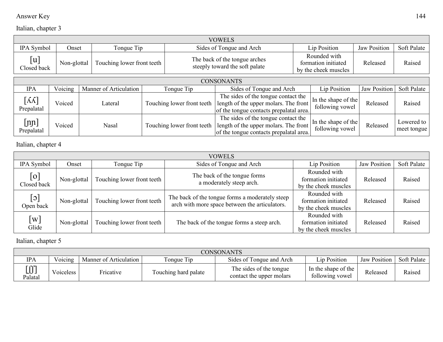#### Answer Key 144

## Italian, chapter 3

|                                               | <b>VOWELS</b> |                            |  |                            |                                                                                                                         |  |                                                             |                     |                           |  |
|-----------------------------------------------|---------------|----------------------------|--|----------------------------|-------------------------------------------------------------------------------------------------------------------------|--|-------------------------------------------------------------|---------------------|---------------------------|--|
| IPA Symbol                                    | Onset         | Tongue Tip                 |  |                            | Sides of Tongue and Arch                                                                                                |  | Lip Position                                                | Jaw Position        | Soft Palate               |  |
| [u]<br>Closed back                            | Non-glottal   | Touching lower front teeth |  |                            | The back of the tongue arches<br>steeply toward the soft palate                                                         |  | Rounded with<br>formation initiated<br>by the cheek muscles | Released            | Raised                    |  |
| <b>CONSONANTS</b>                             |               |                            |  |                            |                                                                                                                         |  |                                                             |                     |                           |  |
| <b>IPA</b>                                    | Voicing       | Manner of Articulation     |  | Tonque Tip                 | Sides of Tongue and Arch                                                                                                |  | Lip Position                                                | <b>Jaw Position</b> | Soft Palate               |  |
| $\lceil \Lambda \Lambda \rceil$<br>Prepalatal | Voiced        | Lateral                    |  | Touching lower front teeth | The sides of the tongue contact the<br>length of the upper molars. The front<br>of the tongue contacts prepalatal area. |  | In the shape of the<br>following vowel                      | Released            | Raised                    |  |
| $[{\rm nn}]$<br>Prepalatal                    | Voiced        | Nasal                      |  | Touching lower front teeth | The sides of the tongue contact the<br>length of the upper molars. The front<br>of the tongue contacts prepalatal area. |  | In the shape of the<br>following vowel                      | Released            | Lowered to<br>meet tongue |  |

Italian, chapter 4

|                            |             |                            | <b>VOWELS</b>                                                                                     |                                                             |                     |             |
|----------------------------|-------------|----------------------------|---------------------------------------------------------------------------------------------------|-------------------------------------------------------------|---------------------|-------------|
| IPA Symbol                 | Onset       | Tongue Tip                 | Sides of Tonque and Arch                                                                          | Lip Position                                                | <b>Jaw Position</b> | Soft Palate |
| $\lceil$ o]<br>Closed back | Non-glottal | Touching lower front teeth | The back of the tongue forms<br>a moderately steep arch.                                          | Rounded with<br>formation initiated<br>by the cheek muscles | Released            | Raised      |
| $[\circ]$<br>Open back     | Non-glottal | Touching lower front teeth | The back of the tongue forms a moderately steep<br>arch with more space between the articulators. | Rounded with<br>formation initiated<br>by the cheek muscles | Released            | Raised      |
| $\lceil w \rceil$<br>Glide | Non-glottal | Touching lower front teeth | The back of the tongue forms a steep arch.                                                        | Rounded with<br>formation initiated<br>by the cheek muscles | Released            | Raised      |

Italian, chapter 5

|                           | <b>CONSONANTS</b> |                        |                      |                                                     |                                        |              |             |  |  |  |
|---------------------------|-------------------|------------------------|----------------------|-----------------------------------------------------|----------------------------------------|--------------|-------------|--|--|--|
| <b>IPA</b>                | Voicing           | Manner of Articulation | <b>Tonque Tip</b>    | Sides of Tonque and Arch                            | Lip Position                           | Jaw Position | Soft Palate |  |  |  |
| г ссп<br>LJJ J<br>Palatal | oiceless/         | Fricative              | Touching hard palate | The sides of the tongue<br>contact the upper molars | In the shape of the<br>following vowel | Released     | Raised      |  |  |  |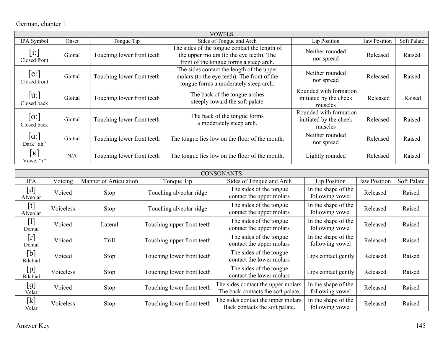## German, chapter 1

|                                  | <b>VOWELS</b> |                            |                                                                                                                                      |                                                             |                     |             |  |  |  |  |
|----------------------------------|---------------|----------------------------|--------------------------------------------------------------------------------------------------------------------------------------|-------------------------------------------------------------|---------------------|-------------|--|--|--|--|
| IPA Symbol                       | Onset         | Tongue Tip                 | Sides of Tonque and Arch                                                                                                             | Lip Position                                                | <b>Jaw Position</b> | Soft Palate |  |  |  |  |
| $[$ i:]<br>Closed front          | Glottal       | Touching lower front teeth | The sides of the tongue contact the length of<br>the upper molars (to the eye teeth). The<br>front of the tongue forms a steep arch. | Neither rounded<br>nor spread                               | Released            | Raised      |  |  |  |  |
| [e:<br>Closed front              | Glottal       | Touching lower front teeth | The sides contact the length of the upper<br>molars (to the eye teeth). The front of the<br>tongue forms a moderately steep arch.    | Neither rounded<br>nor spread                               | Released            | Raised      |  |  |  |  |
| u:<br>Closed back                | Glottal       | Touching lower front teeth | The back of the tongue arches<br>steeply toward the soft palate                                                                      | Rounded with formation<br>initiated by the cheek<br>muscles | Released            | Raised      |  |  |  |  |
| 0:<br>Closed back                | Glottal       | Touching lower front teeth | The back of the tongue forms<br>a moderately steep arch.                                                                             | Rounded with formation<br>initiated by the cheek<br>muscles | Released            | Raised      |  |  |  |  |
| $\alpha$ : $\alpha$<br>Dark "ah" | Glottal       | Touching lower front teeth | The tongue lies low on the floor of the mouth.                                                                                       | Neither rounded<br>nor spread                               | Released            | Raised      |  |  |  |  |
| $[\mathbf{R}]$<br>Vowel "r"      | N/A           | Touching lower front teeth | The tongue lies low on the floor of the mouth.                                                                                       | Lightly rounded                                             | Released            | Raised      |  |  |  |  |

|                                                                                                                                                                                                                                                                                                                                        |           |                        |                            | <b>CONSONANTS</b>                                                         |                                        |                     |             |
|----------------------------------------------------------------------------------------------------------------------------------------------------------------------------------------------------------------------------------------------------------------------------------------------------------------------------------------|-----------|------------------------|----------------------------|---------------------------------------------------------------------------|----------------------------------------|---------------------|-------------|
| <b>IPA</b>                                                                                                                                                                                                                                                                                                                             | Voicing   | Manner of Articulation | Tonque Tip                 | Sides of Tongue and Arch                                                  | Lip Position                           | <b>Jaw Position</b> | Soft Palate |
| $\left[ \textrm{d}\right]$<br>Alveolar                                                                                                                                                                                                                                                                                                 | Voiced    | Stop                   | Touching alveolar ridge    | The sides of the tongue<br>contact the upper molars                       | In the shape of the<br>following vowel | Released            | Raised      |
| [t]<br>Alveolar                                                                                                                                                                                                                                                                                                                        | Voiceless | Stop                   | Touching alveolar ridge    | The sides of the tongue<br>contact the upper molars                       | In the shape of the<br>following vowel | Released            | Raised      |
| $[1]$<br>Dental                                                                                                                                                                                                                                                                                                                        | Voiced    | Lateral                | Touching upper front teeth | The sides of the tongue<br>contact the upper molars                       | In the shape of the<br>following vowel | Released            | Raised      |
| $\lbrack 1 \rbrack$<br>Dental                                                                                                                                                                                                                                                                                                          | Voiced    | <b>Trill</b>           | Touching upper front teeth | The sides of the tongue<br>contact the upper molars                       | In the shape of the<br>following vowel | Released            | Raised      |
| $[b] % \centering % {\includegraphics[width=0.9\textwidth]{figs-pi.pdf}} \caption{The figure shows the function of the parameter $\{z_j$ and the parameter $j$ for the parameter $j$. The curve represents the function of the parameter $j$. The curve represents the function of the parameter $j$.} \label{fig:reps} %$<br>Bilabial | Voiced    | Stop                   | Touching lower front teeth | The sides of the tongue<br>contact the lower molars                       | Lips contact gently                    | Released            | Raised      |
| [p]<br>Bilabial                                                                                                                                                                                                                                                                                                                        | Voiceless | Stop                   | Touching lower front teeth | The sides of the tongue<br>contact the lower molars                       | Lips contact gently                    | Released            | Raised      |
| [g]<br>Velar                                                                                                                                                                                                                                                                                                                           | Voiced    | Stop                   | Touching lower front teeth | The sides contact the upper molars.<br>The back contacts the soft palate. | In the shape of the<br>following vowel | Released            | Raised      |
| $[{\rm k}]$<br>Velar                                                                                                                                                                                                                                                                                                                   | Voiceless | Stop                   | Touching lower front teeth | The sides contact the upper molars.<br>Back contacts the soft palate.     | In the shape of the<br>following vowel | Released            | Raised      |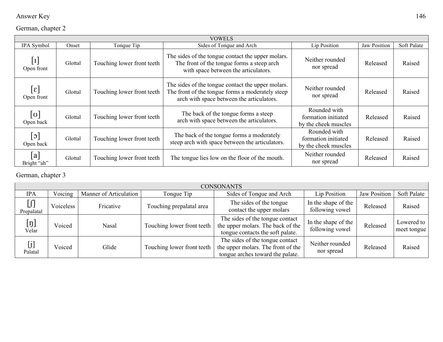| Answer Key | 146 |
|------------|-----|
|------------|-----|

#### German, chapter 2

|                               |         |                            | <b>VOWELS</b>                                                                                                                                      |                                                             |              |             |
|-------------------------------|---------|----------------------------|----------------------------------------------------------------------------------------------------------------------------------------------------|-------------------------------------------------------------|--------------|-------------|
| IPA Symbol                    | Onset   | Tonque Tip                 | Sides of Tonque and Arch                                                                                                                           | Lip Position                                                | Jaw Position | Soft Palate |
| $\vert I \vert$<br>Open front | Glottal | Touching lower front teeth | The sides of the tongue contact the upper molars.<br>The front of the tongue forms a steep arch<br>with space between the articulators.            | Neither rounded<br>nor spread                               | Released     | Raised      |
| $\epsilon$<br>Open front      | Glottal | Touching lower front teeth | The sides of the tongue contact the upper molars.<br>The front of the tongue forms a moderately steep<br>arch with space between the articulators. | Neither rounded<br>nor spread                               | Released     | Raised      |
| $[\sigma]$<br>Open back       | Glottal | Touching lower front teeth | The back of the tongue forms a steep<br>arch with space between the articulators.                                                                  | Rounded with<br>formation initiated<br>by the cheek muscles | Released     | Raised      |
| ၁ $ $<br>Open back            | Glottal | Touching lower front teeth | The back of the tongue forms a moderately<br>steep arch with space between the articulators.                                                       | Rounded with<br>formation initiated<br>by the cheek muscles | Released     | Raised      |
| a <br>Bright "ah"             | Glottal | Touching lower front teeth | The tongue lies low on the floor of the mouth.                                                                                                     | Neither rounded<br>nor spread                               | Released     | Raised      |

#### German, chapter 3

|                           | <b>CONSONANTS</b> |                        |                            |                                                                                                           |                                        |              |                           |  |  |  |
|---------------------------|-------------------|------------------------|----------------------------|-----------------------------------------------------------------------------------------------------------|----------------------------------------|--------------|---------------------------|--|--|--|
| <b>IPA</b>                | Voicing           | Manner of Articulation | Tonque Tip                 | Sides of Tonque and Arch                                                                                  | Lip Position                           | Jaw Position | Soft Palate               |  |  |  |
| $[]$<br>Prepalatal        | Voiceless         | Fricative              | Touching prepalatal area   | The sides of the tongue<br>contact the upper molars                                                       | In the shape of the<br>following vowel | Released     | Raised                    |  |  |  |
| $[\mathfrak{y}]$<br>Velar | Voiced            | Nasal                  | Touching lower front teeth | The sides of the tongue contact<br>the upper molars. The back of the<br>tongue contacts the soft palate.  | In the shape of the<br>following vowel | Released     | Lowered to<br>meet tongue |  |  |  |
| [j]<br>Palatal            | Voiced            | Glide                  | Touching lower front teeth | The sides of the tongue contact<br>the upper molars. The front of the<br>tongue arches toward the palate. | Neither rounded<br>nor spread          | Released     | Raised                    |  |  |  |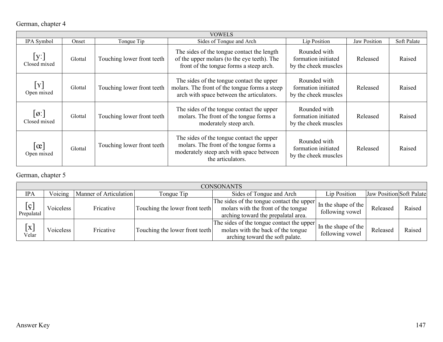## German, chapter 4

|                                           | <b>VOWELS</b> |                            |                                                                                                                                                       |                                                             |                     |             |  |  |  |  |  |
|-------------------------------------------|---------------|----------------------------|-------------------------------------------------------------------------------------------------------------------------------------------------------|-------------------------------------------------------------|---------------------|-------------|--|--|--|--|--|
| IPA Symbol                                | Onset         | Tongue Tip                 | Sides of Tonque and Arch                                                                                                                              | Lip Position                                                | <b>Jaw Position</b> | Soft Palate |  |  |  |  |  |
| [y:<br>Closed mixed                       | Glottal       | Touching lower front teeth | The sides of the tongue contact the length<br>of the upper molars (to the eye teeth). The<br>front of the tongue forms a steep arch.                  | Rounded with<br>formation initiated<br>by the cheek muscles | Released            | Raised      |  |  |  |  |  |
| $\mathbf{Y}$<br>Open mixed                | Glottal       | Touching lower front teeth | The sides of the tongue contact the upper<br>molars. The front of the tongue forms a steep<br>arch with space between the articulators.               | Rounded with<br>formation initiated<br>by the cheek muscles | Released            | Raised      |  |  |  |  |  |
| $\lvert \emptyset \rvert$<br>Closed mixed | Glottal       | Touching lower front teeth | The sides of the tongue contact the upper<br>molars. The front of the tongue forms a<br>moderately steep arch.                                        | Rounded with<br>formation initiated<br>by the cheek muscles | Released            | Raised      |  |  |  |  |  |
| $ \alpha $<br>Open mixed                  | Glottal       | Touching lower front teeth | The sides of the tongue contact the upper<br>molars. The front of the tongue forms a<br>moderately steep arch with space between<br>the articulators. | Rounded with<br>formation initiated<br>by the cheek muscles | Released            | Raised      |  |  |  |  |  |

#### German, chapter 5

|                                              | <b>CONSONANTS</b> |                        |                                |                                                                                                                         |                                        |                          |        |  |  |
|----------------------------------------------|-------------------|------------------------|--------------------------------|-------------------------------------------------------------------------------------------------------------------------|----------------------------------------|--------------------------|--------|--|--|
| <b>IPA</b>                                   | Voicing           | Manner of Articulation | Tonque Tip                     | Sides of Tonque and Arch                                                                                                | Lip Position                           | Jaw Position Soft Palate |        |  |  |
| $[\varsigma]$<br>Prepalatal                  | Voiceless         | Fricative              | Touching the lower front teeth | The sides of the tongue contact the upper<br>molars with the front of the tongue<br>arching toward the prepalatal area. | In the shape of the<br>following vowel | Released                 | Raised |  |  |
| $\left[ \mathrm{\mathbf{x}}\right]$<br>Velar | Voiceless         | Fricative              | Touching the lower front teeth | The sides of the tongue contact the upper<br>molars with the back of the tongue<br>arching toward the soft palate.      | In the shape of the<br>following vowel | Released                 | Raised |  |  |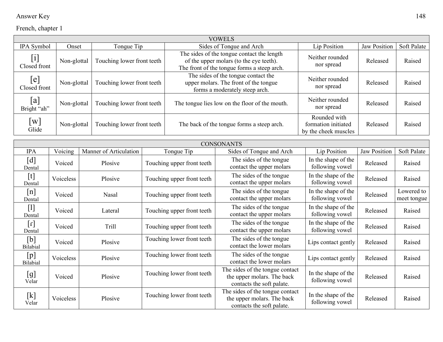| Answer Key | 148 |
|------------|-----|
|------------|-----|

|                                      |             |                            | <b>VOWELS</b>                                                                                                                        |                                                             |                     |             |
|--------------------------------------|-------------|----------------------------|--------------------------------------------------------------------------------------------------------------------------------------|-------------------------------------------------------------|---------------------|-------------|
| IPA Symbol                           | Onset       | Tongue Tip                 | Sides of Tonque and Arch                                                                                                             | Lip Position                                                | <b>Jaw Position</b> | Soft Palate |
| $[\operatorname{i}]$<br>Closed front | Non-glottal | Touching lower front teeth | The sides of the tongue contact the length<br>of the upper molars (to the eye teeth).<br>The front of the tongue forms a steep arch. | Neither rounded<br>nor spread                               | Released            | Raised      |
| $[{\rm e}]$<br>Closed front          | Non-glottal | Touching lower front teeth | The sides of the tongue contact the<br>upper molars. The front of the tongue<br>forms a moderately steep arch.                       | Neither rounded<br>nor spread                               | Released            | Raised      |
| [a]<br>Bright "ah"                   | Non-glottal | Touching lower front teeth | The tongue lies low on the floor of the mouth.                                                                                       | Neither rounded<br>nor spread                               | Released            | Raised      |
| $\lceil w \rceil$<br>Glide           | Non-glottal | Touching lower front teeth | The back of the tongue forms a steep arch.                                                                                           | Rounded with<br>formation initiated<br>by the cheek muscles | Released            | Raised      |

|                                          | <b>CONSONANTS</b> |                        |                            |                                                                                            |                                        |                     |                           |  |
|------------------------------------------|-------------------|------------------------|----------------------------|--------------------------------------------------------------------------------------------|----------------------------------------|---------------------|---------------------------|--|
| <b>IPA</b>                               | Voicing           | Manner of Articulation | Tongue Tip                 | Sides of Tongue and Arch                                                                   | Lip Position                           | <b>Jaw Position</b> | Soft Palate               |  |
| [d]<br>Dental                            | Voiced            | Plosive                | Touching upper front teeth | The sides of the tongue<br>contact the upper molars                                        | In the shape of the<br>following vowel | Released            | Raised                    |  |
| $[t]$<br>Dental                          | Voiceless         | Plosive                | Touching upper front teeth | The sides of the tongue<br>contact the upper molars                                        | In the shape of the<br>following vowel | Released            | Raised                    |  |
| [n]<br>Dental                            | Voiced            | Nasal                  | Touching upper front teeth | The sides of the tongue<br>contact the upper molars                                        | In the shape of the<br>following vowel | Released            | Lowered to<br>meet tongue |  |
| $[1]$<br>Dental                          | Voiced            | Lateral                | Touching upper front teeth | The sides of the tongue<br>contact the upper molars                                        | In the shape of the<br>following vowel | Released            | Raised                    |  |
| $\lbrack \mathfrak{c} \rbrack$<br>Dental | Voiced            | Trill                  | Touching upper front teeth | The sides of the tongue<br>contact the upper molars                                        | In the shape of the<br>following vowel | Released            | Raised                    |  |
| [b]<br><b>Bilabial</b>                   | Voiced            | Plosive                | Touching lower front teeth | The sides of the tongue<br>contact the lower molars                                        | Lips contact gently                    | Released            | Raised                    |  |
| [p]<br><b>Bilabial</b>                   | Voiceless         | Plosive                | Touching lower front teeth | The sides of the tongue<br>contact the lower molars                                        | Lips contact gently                    | Released            | Raised                    |  |
| [g]<br>Velar                             | Voiced            | Plosive                | Touching lower front teeth | The sides of the tongue contact<br>the upper molars. The back<br>contacts the soft palate. | In the shape of the<br>following vowel | Released            | Raised                    |  |
| $[k]$<br>Velar                           | Voiceless         | Plosive                | Touching lower front teeth | The sides of the tongue contact<br>the upper molars. The back<br>contacts the soft palate. | In the shape of the<br>following vowel | Released            | Raised                    |  |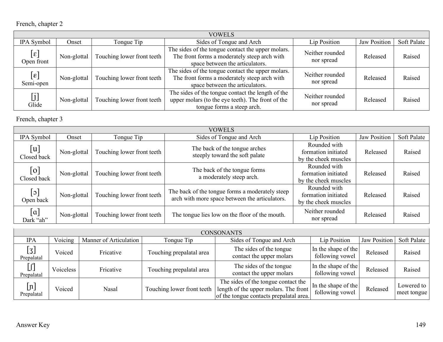|                                                                 |             |                            | <b>VOWELS</b>                                                                                                                        |                               |                     |             |
|-----------------------------------------------------------------|-------------|----------------------------|--------------------------------------------------------------------------------------------------------------------------------------|-------------------------------|---------------------|-------------|
| IPA Symbol                                                      | Onset       | Tonque Tip                 | Sides of Tonque and Arch                                                                                                             | Lip Position                  | <b>Jaw Position</b> | Soft Palate |
| $[\epsilon]$<br>Open front                                      | Non-glottal | Touching lower front teeth | The sides of the tongue contact the upper molars.<br>The front forms a moderately steep arch with<br>space between the articulators. | Neither rounded<br>nor spread | Released            | Raised      |
| $[\epsilon]$<br>Semi-open                                       | Non-glottal | Touching lower front teeth | The sides of the tongue contact the upper molars.<br>The front forms a moderately steep arch with<br>space between the articulators. | Neither rounded<br>nor spread | Released            | Raised      |
| $\left[\begin{smallmatrix} j \end{smallmatrix}\right]$<br>Glide | Non-glottal | Touching lower front teeth | The sides of the tongue contact the length of the<br>upper molars (to the eye teeth). The front of the<br>tongue forms a steep arch. | Neither rounded<br>nor spread | Released            | Raised      |

French, chapter 3

|                                     |             |                            | <b>VOWELS</b>                                                                                     |                                                             |              |             |
|-------------------------------------|-------------|----------------------------|---------------------------------------------------------------------------------------------------|-------------------------------------------------------------|--------------|-------------|
| IPA Symbol                          | Onset       | Tongue Tip                 | Sides of Tongue and Arch                                                                          | Lip Position                                                | Jaw Position | Soft Palate |
| [u]<br>Closed back                  | Non-glottal | Touching lower front teeth | The back of the tongue arches<br>steeply toward the soft palate                                   | Rounded with<br>formation initiated<br>by the cheek muscles | Released     | Raised      |
| $\lceil$ o]<br>Closed back          | Non-glottal | Touching lower front teeth | The back of the tongue forms<br>a moderately steep arch.                                          | Rounded with<br>formation initiated<br>by the cheek muscles | Released     | Raised      |
| $\lceil \circ \rceil$<br>Open back  | Non-glottal | Touching lower front teeth | The back of the tongue forms a moderately steep<br>arch with more space between the articulators. | Rounded with<br>formation initiated<br>by the cheek muscles | Released     | Raised      |
| $\lceil \alpha \rceil$<br>Dark "ah" | Non-glottal | Touching lower front teeth | The tongue lies low on the floor of the mouth.                                                    | Neither rounded<br>nor spread                               | Released     | Raised      |

|                                   | <b>CONSONANTS</b> |                        |                            |                                                                                                                         |                                        |              |                           |  |  |  |
|-----------------------------------|-------------------|------------------------|----------------------------|-------------------------------------------------------------------------------------------------------------------------|----------------------------------------|--------------|---------------------------|--|--|--|
| <b>IPA</b>                        | Voicing           | Manner of Articulation | Tonque Tip                 | Sides of Tonque and Arch                                                                                                | Lip Position                           | Jaw Position | Soft Palate               |  |  |  |
| $\overline{[3]}$<br>Prepalatal    | Voiced            | Fricative              | Touching prepalatal area   | The sides of the tongue<br>contact the upper molars                                                                     | In the shape of the<br>following vowel | Released     | Raised                    |  |  |  |
| $[]$<br>Prepalatal                | /oiceless         | Fricative              | Touching prepalatal area   | The sides of the tongue<br>contact the upper molars                                                                     | In the shape of the<br>following vowel | Released     | Raised                    |  |  |  |
| $\lfloor n \rfloor$<br>Prepalatal | Voiced            | Nasal                  | Touching lower front teeth | The sides of the tongue contact the<br>length of the upper molars. The front<br>of the tongue contacts prepalatal area. | In the shape of the<br>following vowel | Released     | Lowered to<br>meet tongue |  |  |  |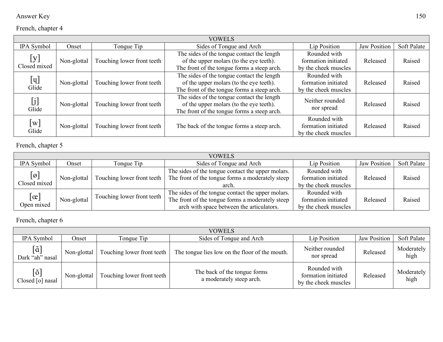| Answer Key | 150 |
|------------|-----|
|------------|-----|

|                                                                                                                                                                                                                                                                                                                      |             |                            | <b>VOWELS</b>                                                                                                                        |                                                             |                     |             |
|----------------------------------------------------------------------------------------------------------------------------------------------------------------------------------------------------------------------------------------------------------------------------------------------------------------------|-------------|----------------------------|--------------------------------------------------------------------------------------------------------------------------------------|-------------------------------------------------------------|---------------------|-------------|
| IPA Symbol                                                                                                                                                                                                                                                                                                           | Onset       | Tonque Tip                 | Sides of Tonque and Arch                                                                                                             | Lip Position                                                | <b>Jaw Position</b> | Soft Palate |
| [y]<br>Closed mixed                                                                                                                                                                                                                                                                                                  | Non-glottal | Touching lower front teeth | The sides of the tongue contact the length<br>of the upper molars (to the eye teeth).<br>The front of the tongue forms a steep arch. | Rounded with<br>formation initiated<br>by the cheek muscles | Released            | Raised      |
| $[\mathbf{u}]$<br>Glide                                                                                                                                                                                                                                                                                              | Non-glottal | Touching lower front teeth | The sides of the tongue contact the length<br>of the upper molars (to the eye teeth).<br>The front of the tongue forms a steep arch. | Rounded with<br>formation initiated<br>by the cheek muscles | Released            | Raised      |
| $[j] % \begin{center} % \includegraphics[width=\linewidth]{imagesSupplemental_3.png} % \end{center} % \caption { % Our method is used for the method. % Our method is used for the method. % The method is used for the method. % Note that the method is used for the method. % } % \label{fig:example} %$<br>Glide | Non-glottal | Touching lower front teeth | The sides of the tongue contact the length<br>of the upper molars (to the eye teeth).<br>The front of the tongue forms a steep arch. | Neither rounded<br>nor spread                               | Released            | Raised      |
| $\left[\mathrm{w}\right]$<br>Glide                                                                                                                                                                                                                                                                                   | Non-glottal | Touching lower front teeth | The back of the tongue forms a steep arch.                                                                                           | Rounded with<br>formation initiated<br>by the cheek muscles | Released            | Raised      |

French, chapter 5

|                                               |             |                            | <b>VOWELS</b>                                                                                                                                      |                                                             |              |             |
|-----------------------------------------------|-------------|----------------------------|----------------------------------------------------------------------------------------------------------------------------------------------------|-------------------------------------------------------------|--------------|-------------|
| IPA Symbol                                    | Onset       | Tonque Tip                 | Sides of Tonque and Arch                                                                                                                           | Lip Position                                                | Jaw Position | Soft Palate |
| $\lbrack \varnothing \rbrack$<br>Closed mixed | Non-glottal | Touching lower front teeth | The sides of the tongue contact the upper molars.<br>The front of the tongue forms a moderately steep<br>arch.                                     | Rounded with<br>formation initiated<br>by the cheek muscles | Released     | Raised      |
| $\lfloor \alpha \rfloor$<br>Open mixed        | Non-glottal | Touching lower front teeth | The sides of the tongue contact the upper molars.<br>The front of the tongue forms a moderately steep<br>arch with space between the articulators. | Rounded with<br>formation initiated<br>by the cheek muscles | Released     | Raised      |

French, chapter 6

|                                                     |             |                            | <b>VOWELS</b>                                            |                                                             |                     |                    |
|-----------------------------------------------------|-------------|----------------------------|----------------------------------------------------------|-------------------------------------------------------------|---------------------|--------------------|
| IPA Symbol                                          | Onset       | Tonque Tip                 | Sides of Tonque and Arch                                 | Lip Position                                                | <b>Jaw Position</b> | Soft Palate        |
| $\lceil\tilde{\mathrm{a}}\rceil$<br>Dark "ah" nasal | Non-glottal | Touching lower front teeth | The tongue lies low on the floor of the mouth.           | Neither rounded<br>nor spread                               | Released            | Moderately<br>high |
| $[\tilde{\mathrm{o}}]$<br>Closed [o] nasal          | Non-glottal | Touching lower front teeth | The back of the tongue forms<br>a moderately steep arch. | Rounded with<br>formation initiated<br>by the cheek muscles | Released            | Moderately<br>high |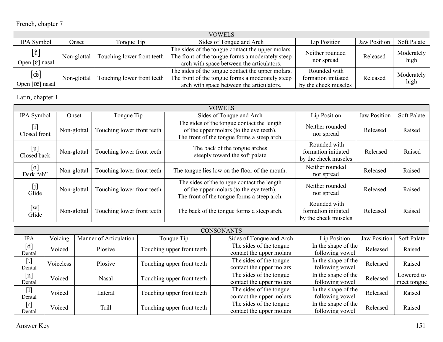|                                                                |             |                            | <b>VOWELS</b>                                                                                                                                      |                                                             |              |                    |
|----------------------------------------------------------------|-------------|----------------------------|----------------------------------------------------------------------------------------------------------------------------------------------------|-------------------------------------------------------------|--------------|--------------------|
| IPA Symbol                                                     | Onset       | Tonque Tip                 | Sides of Tonque and Arch                                                                                                                           | Lip Position                                                | Jaw Position | <b>Soft Palate</b> |
| $[\tilde{\epsilon}]$<br>Open $\lceil \varepsilon \rceil$ nasal | Non-glottal | Touching lower front teeth | The sides of the tongue contact the upper molars.<br>The front of the tongue forms a moderately steep<br>arch with space between the articulators. | Neither rounded<br>nor spread                               | Released     | Moderately<br>high |
| $[\tilde{\mathrm{e}}]$<br>Open $[\mathfrak{C}]$ nasal          | Non-glottal | Touching lower front teeth | The sides of the tongue contact the upper molars.<br>The front of the tongue forms a moderately steep<br>arch with space between the articulators. | Rounded with<br>formation initiated<br>by the cheek muscles | Released     | Moderately<br>high |

Latin, chapter 1

| <b>VOWELS</b>                      |             |                            |                                                                                                                                      |                                                             |                     |             |  |  |
|------------------------------------|-------------|----------------------------|--------------------------------------------------------------------------------------------------------------------------------------|-------------------------------------------------------------|---------------------|-------------|--|--|
| IPA Symbol                         | Onset       | Tonque Tip                 | Sides of Tonque and Arch                                                                                                             | Lip Position                                                | <b>Jaw Position</b> | Soft Palate |  |  |
| $[$<br>Closed front                | Non-glottal | Touching lower front teeth | The sides of the tongue contact the length<br>of the upper molars (to the eye teeth).<br>The front of the tongue forms a steep arch. | Neither rounded<br>nor spread                               | Released            | Raised      |  |  |
| [u]<br>Closed back                 | Non-glottal | Touching lower front teeth | The back of the tongue arches<br>steeply toward the soft palate                                                                      | Rounded with<br>formation initiated<br>by the cheek muscles | Released            | Raised      |  |  |
| [a]<br>Dark "ah"                   | Non-glottal | Touching lower front teeth | The tongue lies low on the floor of the mouth.                                                                                       | Neither rounded<br>nor spread                               | Released            | Raised      |  |  |
| [j]<br>Glide                       | Non-glottal | Touching lower front teeth | The sides of the tongue contact the length<br>of the upper molars (to the eye teeth).<br>The front of the tongue forms a steep arch. | Neither rounded<br>nor spread                               | Released            | Raised      |  |  |
| $\left[\mathrm{w}\right]$<br>Glide | Non-glottal | Touching lower front teeth | The back of the tongue forms a steep arch.                                                                                           | Rounded with<br>formation initiated<br>by the cheek muscles | Released            | Raised      |  |  |

| <b>CONSONANTS</b>                                                                                                                                                                                                                                                                                                                                                                                                                                                                                                                                                                     |           |                        |                            |                                                     |                                        |              |                           |  |
|---------------------------------------------------------------------------------------------------------------------------------------------------------------------------------------------------------------------------------------------------------------------------------------------------------------------------------------------------------------------------------------------------------------------------------------------------------------------------------------------------------------------------------------------------------------------------------------|-----------|------------------------|----------------------------|-----------------------------------------------------|----------------------------------------|--------------|---------------------------|--|
| <b>IPA</b>                                                                                                                                                                                                                                                                                                                                                                                                                                                                                                                                                                            | Voicing   | Manner of Articulation | Tongue Tip                 | Sides of Tonque and Arch                            | Lip Position                           | Jaw Position | Soft Palate               |  |
| $[d]% \centering \subfloat[\centering]{{\includegraphics[scale=0.2]{img8.png} }}% \qquad \subfloat[\centering]{{\includegraphics[scale=0.2]{img9.png} }}% \caption{(Adaptive image) Set size produced in our classification example (panel left). } \label{fig:3}$<br>Dental                                                                                                                                                                                                                                                                                                          | Voiced    | Plosive                | Touching upper front teeth | The sides of the tongue<br>contact the upper molars | In the shape of the<br>following vowel | Released     | Raised                    |  |
| $[t] \centering% \includegraphics[width=0.9\columnwidth]{figures/fig_10.pdf} \caption{The 3D (black) model for a different region of the parameter $\Omega$. The left shows a function of the parameter $\Omega$. The left shows a function of the parameter $\Omega$. The right shows a function of the parameter $\Omega$. The right shows a function of the parameter $\Omega$. The right shows a function of the parameter $\Omega$. The right shows a function of the parameter $\Omega$. The right shows a function of the parameter $\Omega$.} \label{fig:fig:time}$<br>Dental | Voiceless | Plosive                | Touching upper front teeth | The sides of the tongue<br>contact the upper molars | In the shape of the<br>following vowel | Released     | Raised                    |  |
| [n]<br>Dental                                                                                                                                                                                                                                                                                                                                                                                                                                                                                                                                                                         | Voiced    | Nasal                  | Touching upper front teeth | The sides of the tongue<br>contact the upper molars | In the shape of the<br>following vowel | Released     | Lowered to<br>meet tongue |  |
| $[1]$<br>Dental                                                                                                                                                                                                                                                                                                                                                                                                                                                                                                                                                                       | Voiced    | Lateral                | Touching upper front teeth | The sides of the tongue<br>contact the upper molars | In the shape of the<br>following vowel | Released     | Raised                    |  |
| $\lbrack \mathfrak{l} \rbrack$<br>Dental                                                                                                                                                                                                                                                                                                                                                                                                                                                                                                                                              | Voiced    | Trill                  | Touching upper front teeth | The sides of the tongue<br>contact the upper molars | In the shape of the<br>following vowel | Released     | Raised                    |  |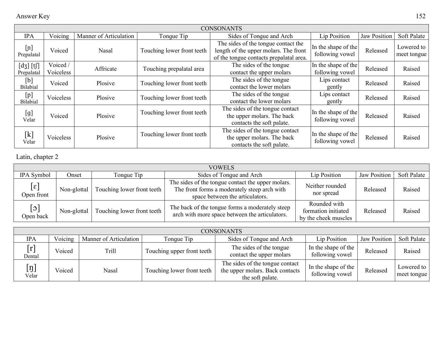| <b>CONSONANTS</b>           |                       |                        |                            |                                                                                                                         |                                        |                     |                           |  |
|-----------------------------|-----------------------|------------------------|----------------------------|-------------------------------------------------------------------------------------------------------------------------|----------------------------------------|---------------------|---------------------------|--|
| <b>IPA</b>                  | Voicing               | Manner of Articulation | Tonque Tip                 | Sides of Tonque and Arch                                                                                                | Lip Position                           | <b>Jaw Position</b> | Soft Palate               |  |
| [n]<br>Prepalatal           | Voiced                | <b>Nasal</b>           | Touching lower front teeth | The sides of the tongue contact the<br>length of the upper molars. The front<br>of the tongue contacts prepalatal area. | In the shape of the<br>following vowel | Released            | Lowered to<br>meet tongue |  |
| $[d_3]$ $[t]$<br>Prepalatal | Voiced /<br>Voiceless | Affricate              | Touching prepalatal area   | The sides of the tongue<br>contact the upper molars                                                                     | In the shape of the<br>following vowel | Released            | Raised                    |  |
| [b]<br>Bilabial             | Voiced                | Plosive                | Touching lower front teeth | The sides of the tongue<br>contact the lower molars                                                                     | Lips contact<br>gently                 | Released            | Raised                    |  |
| [p]<br>Bilabial             | Voiceless             | Plosive                | Touching lower front teeth | The sides of the tongue<br>contact the lower molars                                                                     | Lips contact<br>gently                 | Released            | Raised                    |  |
| [g]<br>Velar                | Voiced                | Plosive                | Touching lower front teeth | The sides of the tongue contact<br>the upper molars. The back<br>contacts the soft palate.                              | In the shape of the<br>following vowel | Released            | Raised                    |  |
| [k]<br>Velar                | Voiceless             | Plosive                | Touching lower front teeth | The sides of the tongue contact<br>the upper molars. The back<br>contacts the soft palate.                              | In the shape of the<br>following vowel | Released            | Raised                    |  |

Latin, chapter 2

| <b>VOWELS</b>              |             |                            |                                                                                                                                      |                                                             |                     |             |  |  |
|----------------------------|-------------|----------------------------|--------------------------------------------------------------------------------------------------------------------------------------|-------------------------------------------------------------|---------------------|-------------|--|--|
| IPA Symbol                 | Onset       | Tonque Tip                 | Sides of Tonque and Arch                                                                                                             | Lip Position                                                | <b>Jaw Position</b> | Soft Palate |  |  |
| $[\epsilon]$<br>Open front | Non-glottal | Touching lower front teeth | The sides of the tongue contact the upper molars.<br>The front forms a moderately steep arch with<br>space between the articulators. | Neither rounded<br>nor spread                               | Released            | Raised      |  |  |
| $[\circ]$<br>Open back     | Non-glottal | Touching lower front teeth | The back of the tongue forms a moderately steep<br>arch with more space between the articulators.                                    | Rounded with<br>formation initiated<br>by the cheek muscles | Released            | Raised      |  |  |

| <b>CONSONANTS</b>         |         |                        |                            |                                                                                        |                                        |              |                           |  |
|---------------------------|---------|------------------------|----------------------------|----------------------------------------------------------------------------------------|----------------------------------------|--------------|---------------------------|--|
| <b>IPA</b>                | Voicing | Manner of Articulation | Tonque Tip                 | Sides of Tonque and Arch                                                               | Lip Position                           | Jaw Position | Soft Palate               |  |
| [r]<br>Dental             | Voiced  | Trill                  | Touching upper front teeth | The sides of the tongue<br>contact the upper molars                                    | In the shape of the<br>following vowel | Released     | Raised                    |  |
| $[\mathfrak{y}]$<br>Velar | Voiced  | Nasal                  | Touching lower front teeth | The sides of the tongue contact<br>the upper molars. Back contacts<br>the soft palate. | In the shape of the<br>following vowel | Released     | Lowered to<br>meet tongue |  |